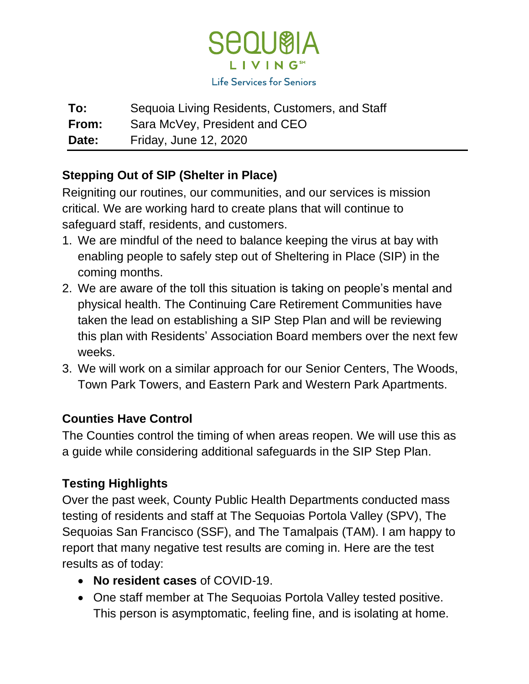

**To:** Sequoia Living Residents, Customers, and Staff **From:** Sara McVey, President and CEO **Date:** Friday, June 12, 2020

# **Stepping Out of SIP (Shelter in Place)**

Reigniting our routines, our communities, and our services is mission critical. We are working hard to create plans that will continue to safeguard staff, residents, and customers.

- 1. We are mindful of the need to balance keeping the virus at bay with enabling people to safely step out of Sheltering in Place (SIP) in the coming months.
- 2. We are aware of the toll this situation is taking on people's mental and physical health. The Continuing Care Retirement Communities have taken the lead on establishing a SIP Step Plan and will be reviewing this plan with Residents' Association Board members over the next few weeks.
- 3. We will work on a similar approach for our Senior Centers, The Woods, Town Park Towers, and Eastern Park and Western Park Apartments.

### **Counties Have Control**

The Counties control the timing of when areas reopen. We will use this as a guide while considering additional safeguards in the SIP Step Plan.

### **Testing Highlights**

Over the past week, County Public Health Departments conducted mass testing of residents and staff at The Sequoias Portola Valley (SPV), The Sequoias San Francisco (SSF), and The Tamalpais (TAM). I am happy to report that many negative test results are coming in. Here are the test results as of today:

- **No resident cases** of COVID-19.
- One staff member at The Sequoias Portola Valley tested positive. This person is asymptomatic, feeling fine, and is isolating at home.